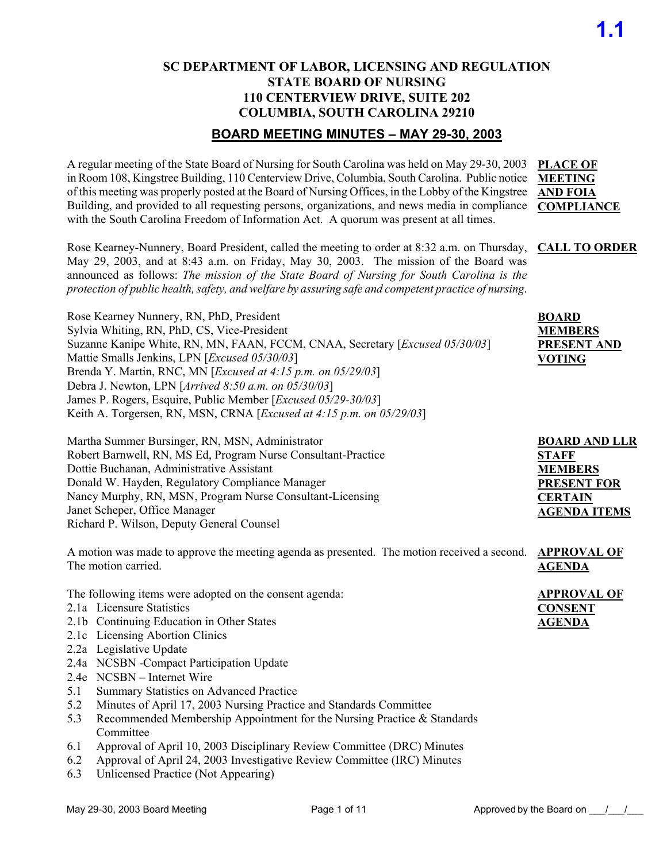#### **SC DEPARTMENT OF LABOR, LICENSING AND REGULATION STATE BOARD OF NURSING 110 CENTERVIEW DRIVE, SUITE 202 COLUMBIA, SOUTH CAROLINA 29210**

### **BOARD MEETING MINUTES – MAY 29-30, 2003**

A regular meeting of the State Board of Nursing for South Carolina was held on May 29-30, 2003 **PLACE OF**  in Room 108, Kingstree Building, 110 Centerview Drive, Columbia, South Carolina. Public notice **MEETING**  of this meeting was properly posted at the Board of Nursing Offices, in the Lobby of the Kingstree **AND FOIA** Building, and provided to all requesting persons, organizations, and news media in compliance **COMPLIANCE** with the South Carolina Freedom of Information Act. A quorum was present at all times.

Rose Kearney-Nunnery, Board President, called the meeting to order at 8:32 a.m. on Thursday, **CALL TO ORDER** May 29, 2003, and at 8:43 a.m. on Friday, May 30, 2003. The mission of the Board was announced as follows: *The mission of the State Board of Nursing for South Carolina is the protection of public health, safety, and welfare by assuring safe and competent practice of nursing*.

Rose Kearney Nunnery, RN, PhD, President Sylvia Whiting, RN, PhD, CS, Vice-President Suzanne Kanipe White, RN, MN, FAAN, FCCM, CNAA, Secretary [*Excused 05/30/03*] Mattie Smalls Jenkins, LPN [*Excused 05/30/03*] Brenda Y. Martin, RNC, MN [*Excused at 4:15 p.m. on 05/29/03*] Debra J. Newton, LPN [*Arrived 8:50 a.m. on 05/30/03*] James P. Rogers, Esquire, Public Member [*Excused 05/29-30/03*] Keith A. Torgersen, RN, MSN, CRNA [*Excused at 4:15 p.m. on 05/29/03*]

| Martha Summer Bursinger, RN, MSN, Administrator               | <b>BOARD AND LLR</b> |
|---------------------------------------------------------------|----------------------|
| Robert Barnwell, RN, MS Ed, Program Nurse Consultant-Practice | <b>STAFF</b>         |
| Dottie Buchanan, Administrative Assistant                     | <b>MEMBERS</b>       |
| Donald W. Hayden, Regulatory Compliance Manager               | <b>PRESENT FOR</b>   |
| Nancy Murphy, RN, MSN, Program Nurse Consultant-Licensing     | <b>CERTAIN</b>       |
| Janet Scheper, Office Manager                                 | <b>AGENDA ITEMS</b>  |
| Richard P. Wilson, Deputy General Counsel                     |                      |

A motion was made to approve the meeting agenda as presented. The motion received a second. **APPROVAL OF**  The motion carried. **AGENDA**

The following items were adopted on the consent agenda:

- 2.1a Licensure Statistics
- 2.1b Continuing Education in Other States
- 2.1c Licensing Abortion Clinics
- 2.2a Legislative Update
- 2.4a NCSBN -Compact Participation Update
- 2.4e NCSBN Internet Wire
- 5.1 Summary Statistics on Advanced Practice
- 5.2 Minutes of April 17, 2003 Nursing Practice and Standards Committee
- 5.3 Recommended Membership Appointment for the Nursing Practice & Standards Committee
- 6.1 Approval of April 10, 2003 Disciplinary Review Committee (DRC) Minutes
- 6.2 Approval of April 24, 2003 Investigative Review Committee (IRC) Minutes
- 6.3 Unlicensed Practice (Not Appearing)

**BOARD MEMBERS PRESENT AND** 

**VOTING**

**APPROVAL OF CONSENT AGENDA**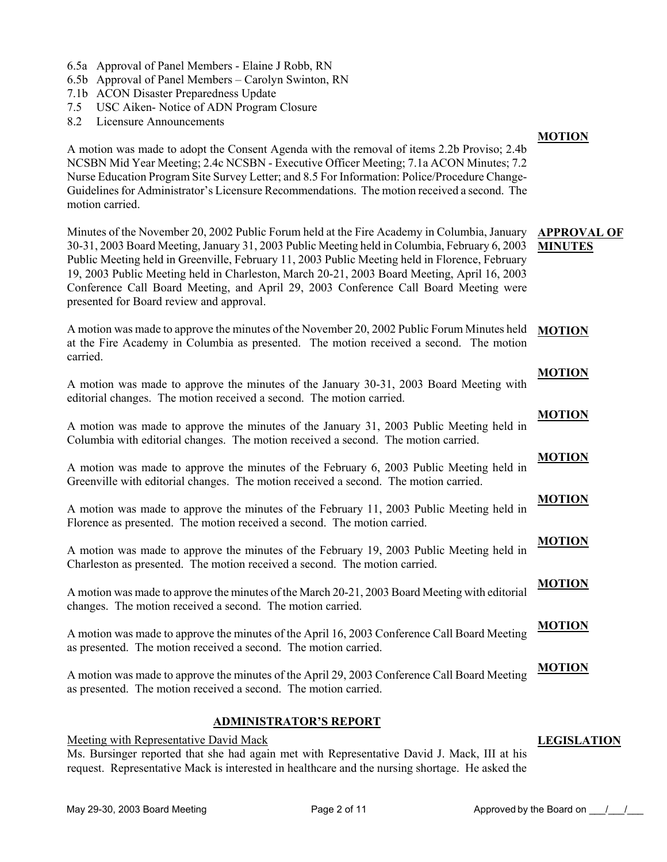- 6.5a Approval of Panel Members Elaine J Robb, RN
- 6.5b Approval of Panel Members Carolyn Swinton, RN
- 7.1b ACON Disaster Preparedness Update
- 7.5 USC Aiken- Notice of ADN Program Closure
- 8.2 Licensure Announcements

A motion was made to adopt the Consent Agenda with the removal of items 2.2b Proviso; 2.4b NCSBN Mid Year Meeting; 2.4c NCSBN - Executive Officer Meeting; 7.1a ACON Minutes; 7.2 Nurse Education Program Site Survey Letter; and 8.5 For Information: Police/Procedure Change-Guidelines for Administrator's Licensure Recommendations. The motion received a second. The motion carried.

Minutes of the November 20, 2002 Public Forum held at the Fire Academy in Columbia, January 30-31, 2003 Board Meeting, January 31, 2003 Public Meeting held in Columbia, February 6, 2003 Public Meeting held in Greenville, February 11, 2003 Public Meeting held in Florence, February 19, 2003 Public Meeting held in Charleston, March 20-21, 2003 Board Meeting, April 16, 2003 Conference Call Board Meeting, and April 29, 2003 Conference Call Board Meeting were presented for Board review and approval. **APPROVAL OF MINUTES**

A motion was made to approve the minutes of the November 20, 2002 Public Forum Minutes held at the Fire Academy in Columbia as presented. The motion received a second. The motion carried. **MOTION**

- A motion was made to approve the minutes of the January 30-31, 2003 Board Meeting with editorial changes. The motion received a second. The motion carried. **MOTION**
- A motion was made to approve the minutes of the January 31, 2003 Public Meeting held in Columbia with editorial changes. The motion received a second. The motion carried. **MOTION**
- A motion was made to approve the minutes of the February 6, 2003 Public Meeting held in Greenville with editorial changes. The motion received a second. The motion carried. **MOTION**
- A motion was made to approve the minutes of the February 11, 2003 Public Meeting held in Florence as presented. The motion received a second. The motion carried. **MOTION**
- A motion was made to approve the minutes of the February 19, 2003 Public Meeting held in Charleston as presented. The motion received a second. The motion carried. **MOTION**
- A motion was made to approve the minutes of the March 20-21, 2003 Board Meeting with editorial changes. The motion received a second. The motion carried. **MOTION**
- A motion was made to approve the minutes of the April 16, 2003 Conference Call Board Meeting as presented. The motion received a second. The motion carried. **MOTION**

A motion was made to approve the minutes of the April 29, 2003 Conference Call Board Meeting as presented. The motion received a second. The motion carried. **MOTION**

#### **ADMINISTRATOR'S REPORT**

Meeting with Representative David Mack

Ms. Bursinger reported that she had again met with Representative David J. Mack, III at his request. Representative Mack is interested in healthcare and the nursing shortage. He asked the

#### **MOTION**

**LEGISLATION**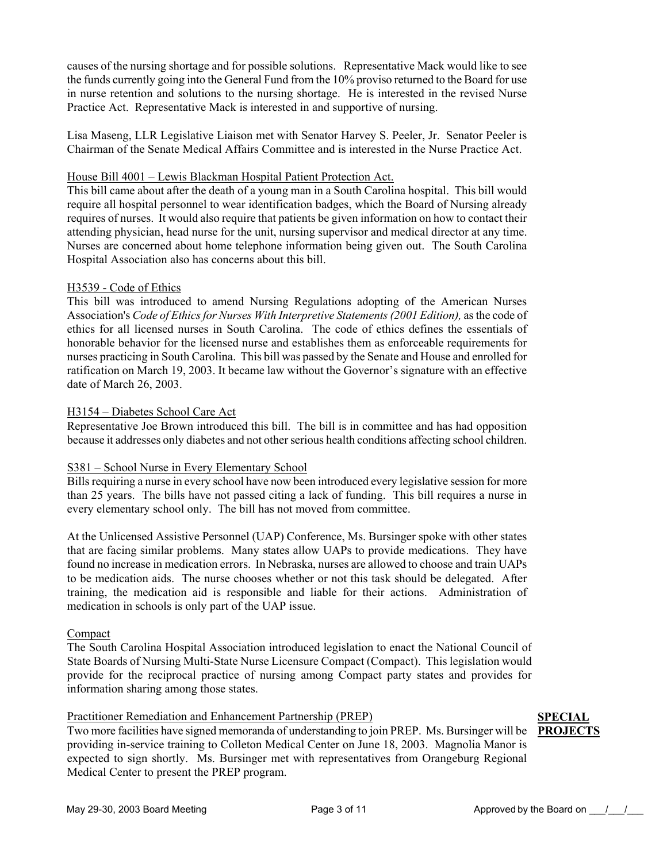causes of the nursing shortage and for possible solutions. Representative Mack would like to see the funds currently going into the General Fund from the 10% proviso returned to the Board for use in nurse retention and solutions to the nursing shortage. He is interested in the revised Nurse Practice Act. Representative Mack is interested in and supportive of nursing.

Lisa Maseng, LLR Legislative Liaison met with Senator Harvey S. Peeler, Jr. Senator Peeler is Chairman of the Senate Medical Affairs Committee and is interested in the Nurse Practice Act.

#### House Bill 4001 – Lewis Blackman Hospital Patient Protection Act.

This bill came about after the death of a young man in a South Carolina hospital. This bill would require all hospital personnel to wear identification badges, which the Board of Nursing already requires of nurses. It would also require that patients be given information on how to contact their attending physician, head nurse for the unit, nursing supervisor and medical director at any time. Nurses are concerned about home telephone information being given out. The South Carolina Hospital Association also has concerns about this bill.

#### H3539 - Code of Ethics

This bill was introduced to amend Nursing Regulations adopting of the American Nurses Association's *Code of Ethics for Nurses With Interpretive Statements (2001 Edition),* as the code of ethics for all licensed nurses in South Carolina. The code of ethics defines the essentials of honorable behavior for the licensed nurse and establishes them as enforceable requirements for nurses practicing in South Carolina. This bill was passed by the Senate and House and enrolled for ratification on March 19, 2003. It became law without the Governor's signature with an effective date of March 26, 2003.

#### H3154 – Diabetes School Care Act

Representative Joe Brown introduced this bill. The bill is in committee and has had opposition because it addresses only diabetes and not other serious health conditions affecting school children.

#### S381 – School Nurse in Every Elementary School

Bills requiring a nurse in every school have now been introduced every legislative session for more than 25 years. The bills have not passed citing a lack of funding. This bill requires a nurse in every elementary school only. The bill has not moved from committee.

At the Unlicensed Assistive Personnel (UAP) Conference, Ms. Bursinger spoke with other states that are facing similar problems. Many states allow UAPs to provide medications. They have found no increase in medication errors. In Nebraska, nurses are allowed to choose and train UAPs to be medication aids. The nurse chooses whether or not this task should be delegated. After training, the medication aid is responsible and liable for their actions. Administration of medication in schools is only part of the UAP issue.

#### Compact

The South Carolina Hospital Association introduced legislation to enact the National Council of State Boards of Nursing Multi-State Nurse Licensure Compact (Compact). This legislation would provide for the reciprocal practice of nursing among Compact party states and provides for information sharing among those states.

#### Practitioner Remediation and Enhancement Partnership (PREP)

Two more facilities have signed memoranda of understanding to join PREP. Ms. Bursinger will be **PROJECTS**providing in-service training to Colleton Medical Center on June 18, 2003. Magnolia Manor is expected to sign shortly. Ms. Bursinger met with representatives from Orangeburg Regional Medical Center to present the PREP program.

## **SPECIAL**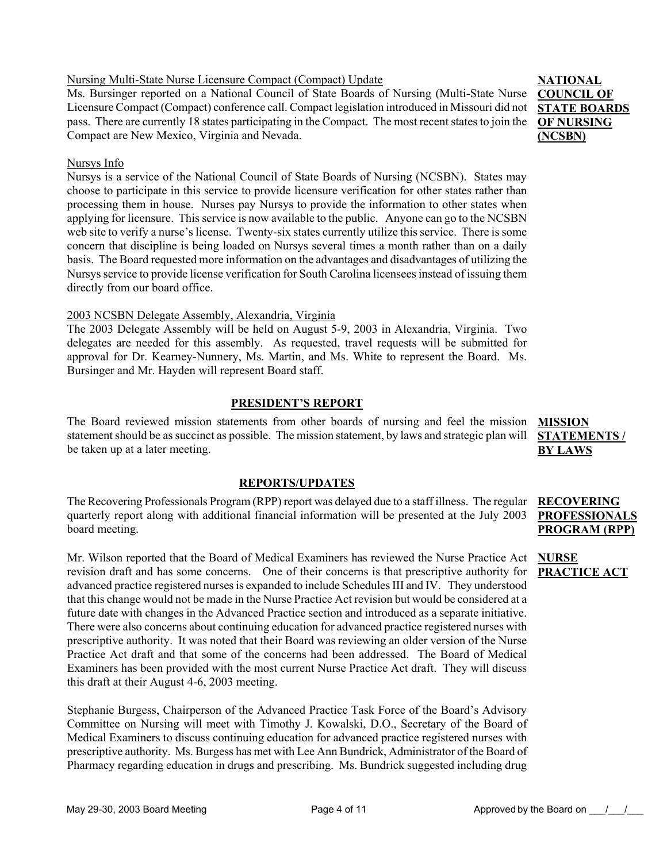### applying for licensure. This service is now available to the public. Anyone can go to the NCSBN

web site to verify a nurse's license. Twenty-six states currently utilize this service. There is some concern that discipline is being loaded on Nursys several times a month rather than on a daily basis. The Board requested more information on the advantages and disadvantages of utilizing the Nursys service to provide license verification for South Carolina licensees instead of issuing them directly from our board office.

### 2003 NCSBN Delegate Assembly, Alexandria, Virginia

The 2003 Delegate Assembly will be held on August 5-9, 2003 in Alexandria, Virginia. Two delegates are needed for this assembly. As requested, travel requests will be submitted for approval for Dr. Kearney-Nunnery, Ms. Martin, and Ms. White to represent the Board. Ms. Bursinger and Mr. Hayden will represent Board staff.

### **PRESIDENT'S REPORT**

The Board reviewed mission statements from other boards of nursing and feel the mission statement should be as succinct as possible. The mission statement, by laws and strategic plan will be taken up at a later meeting. **MISSION** 

### **REPORTS/UPDATES**

The Recovering Professionals Program (RPP) report was delayed due to a staff illness. The regular quarterly report along with additional financial information will be presented at the July 2003 board meeting.

Mr. Wilson reported that the Board of Medical Examiners has reviewed the Nurse Practice Act revision draft and has some concerns. One of their concerns is that prescriptive authority for **PRACTICE ACT**advanced practice registered nurses is expanded to include Schedules III and IV. They understood that this change would not be made in the Nurse Practice Act revision but would be considered at a future date with changes in the Advanced Practice section and introduced as a separate initiative. There were also concerns about continuing education for advanced practice registered nurses with prescriptive authority. It was noted that their Board was reviewing an older version of the Nurse Practice Act draft and that some of the concerns had been addressed. The Board of Medical Examiners has been provided with the most current Nurse Practice Act draft. They will discuss this draft at their August 4-6, 2003 meeting.

Stephanie Burgess, Chairperson of the Advanced Practice Task Force of the Board's Advisory Committee on Nursing will meet with Timothy J. Kowalski, D.O., Secretary of the Board of Medical Examiners to discuss continuing education for advanced practice registered nurses with prescriptive authority. Ms. Burgess has met with Lee Ann Bundrick, Administrator of the Board of Pharmacy regarding education in drugs and prescribing. Ms. Bundrick suggested including drug

Nursing Multi-State Nurse Licensure Compact (Compact) Update

Ms. Bursinger reported on a National Council of State Boards of Nursing (Multi-State Nurse Licensure Compact (Compact) conference call. Compact legislation introduced in Missouri did not pass. There are currently 18 states participating in the Compact. The most recent states to join the Compact are New Mexico, Virginia and Nevada.

Nursys is a service of the National Council of State Boards of Nursing (NCSBN). States may choose to participate in this service to provide licensure verification for other states rather than processing them in house. Nurses pay Nursys to provide the information to other states when

#### Nursys Info

**STATEMENTS / BY LAWS**

#### **RECOVERING PROFESSIONAL PROGRAM (RPP)**

**NURSE** 

**NATIONAL COUNCIL OF STATE BOARDS OF NURSING (NCSBN)**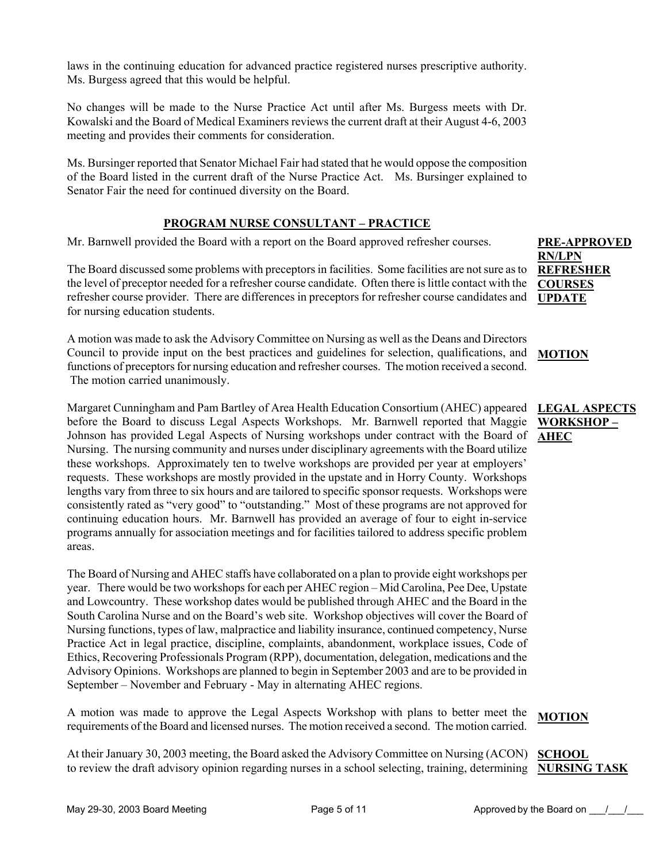laws in the continuing education for advanced practice registered nurses prescriptive authority. Ms. Burgess agreed that this would be helpful.

No changes will be made to the Nurse Practice Act until after Ms. Burgess meets with Dr. Kowalski and the Board of Medical Examiners reviews the current draft at their August 4-6, 2003 meeting and provides their comments for consideration.

Ms. Bursinger reported that Senator Michael Fair had stated that he would oppose the composition of the Board listed in the current draft of the Nurse Practice Act. Ms. Bursinger explained to Senator Fair the need for continued diversity on the Board.

#### **PROGRAM NURSE CONSULTANT – PRACTICE**

Mr. Barnwell provided the Board with a report on the Board approved refresher courses.

The Board discussed some problems with preceptors in facilities. Some facilities are not sure as to the level of preceptor needed for a refresher course candidate. Often there is little contact with the refresher course provider. There are differences in preceptors for refresher course candidates and for nursing education students.

A motion was made to ask the Advisory Committee on Nursing as well as the Deans and Directors Council to provide input on the best practices and guidelines for selection, qualifications, and functions of preceptors for nursing education and refresher courses. The motion received a second. The motion carried unanimously.

Margaret Cunningham and Pam Bartley of Area Health Education Consortium (AHEC) appeared before the Board to discuss Legal Aspects Workshops. Mr. Barnwell reported that Maggie Johnson has provided Legal Aspects of Nursing workshops under contract with the Board of Nursing. The nursing community and nurses under disciplinary agreements with the Board utilize these workshops. Approximately ten to twelve workshops are provided per year at employers' requests. These workshops are mostly provided in the upstate and in Horry County. Workshops lengths vary from three to six hours and are tailored to specific sponsor requests. Workshops were consistently rated as "very good" to "outstanding." Most of these programs are not approved for continuing education hours. Mr. Barnwell has provided an average of four to eight in-service programs annually for association meetings and for facilities tailored to address specific problem areas.

The Board of Nursing and AHEC staffs have collaborated on a plan to provide eight workshops per year. There would be two workshops for each per AHEC region – Mid Carolina, Pee Dee, Upstate and Lowcountry. These workshop dates would be published through AHEC and the Board in the South Carolina Nurse and on the Board's web site. Workshop objectives will cover the Board of Nursing functions, types of law, malpractice and liability insurance, continued competency, Nurse Practice Act in legal practice, discipline, complaints, abandonment, workplace issues, Code of Ethics, Recovering Professionals Program (RPP), documentation, delegation, medications and the Advisory Opinions. Workshops are planned to begin in September 2003 and are to be provided in September – November and February - May in alternating AHEC regions.

A motion was made to approve the Legal Aspects Workshop with plans to better meet the requirements of the Board and licensed nurses. The motion received a second. The motion carried.

At their January 30, 2003 meeting, the Board asked the Advisory Committee on Nursing (ACON) SCHOOL to review the draft advisory opinion regarding nurses in a school selecting, training, determining **NURSING TASK** 

#### **PRE-APPROVED RN/LPN REFRESHER COURSES UPDATE**

#### **MOTION**

#### **LEGAL ASPECTS WORKSHOP – AHEC**

#### **MOTION**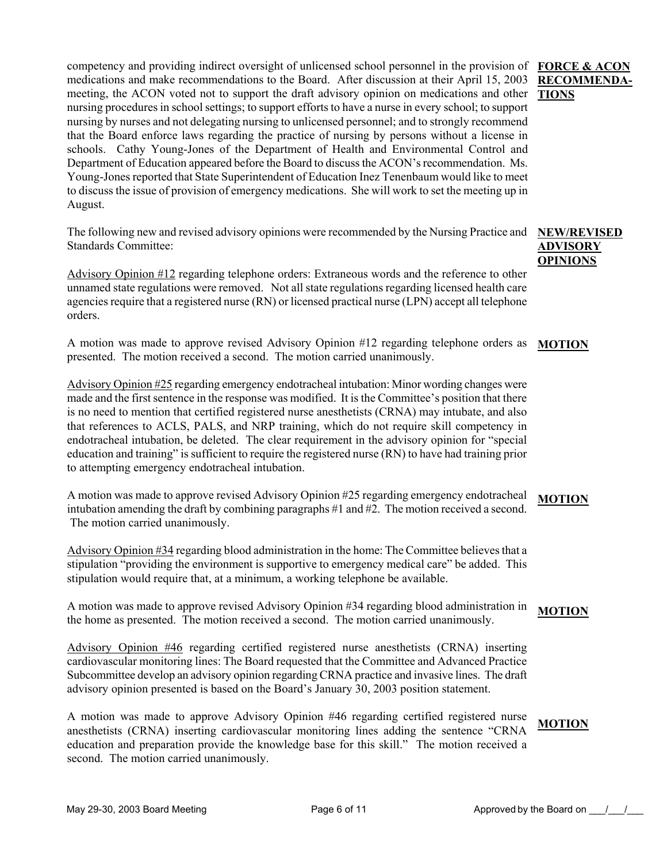competency and providing indirect oversight of unlicensed school personnel in the provision of **FORCE & ACON**  medications and make recommendations to the Board. After discussion at their April 15, 2003 meeting, the ACON voted not to support the draft advisory opinion on medications and other **TIONS** nursing procedures in school settings; to support efforts to have a nurse in every school; to support nursing by nurses and not delegating nursing to unlicensed personnel; and to strongly recommend that the Board enforce laws regarding the practice of nursing by persons without a license in schools. Cathy Young-Jones of the Department of Health and Environmental Control and Department of Education appeared before the Board to discuss the ACON's recommendation. Ms. Young-Jones reported that State Superintendent of Education Inez Tenenbaum would like to meet to discuss the issue of provision of emergency medications. She will work to set the meeting up in August.

The following new and revised advisory opinions were recommended by the Nursing Practice and Standards Committee:

Advisory Opinion #12 regarding telephone orders: Extraneous words and the reference to other unnamed state regulations were removed. Not all state regulations regarding licensed health care agencies require that a registered nurse (RN) or licensed practical nurse (LPN) accept all telephone orders.

A motion was made to approve revised Advisory Opinion #12 regarding telephone orders as presented. The motion received a second. The motion carried unanimously. **MOTION**

Advisory Opinion #25 regarding emergency endotracheal intubation: Minor wording changes were made and the first sentence in the response was modified. It is the Committee's position that there is no need to mention that certified registered nurse anesthetists (CRNA) may intubate, and also that references to ACLS, PALS, and NRP training, which do not require skill competency in endotracheal intubation, be deleted. The clear requirement in the advisory opinion for "special education and training" is sufficient to require the registered nurse (RN) to have had training prior to attempting emergency endotracheal intubation.

A motion was made to approve revised Advisory Opinion #25 regarding emergency endotracheal intubation amending the draft by combining paragraphs #1 and #2. The motion received a second. The motion carried unanimously. **MOTION**

Advisory Opinion #34 regarding blood administration in the home: The Committee believes that a stipulation "providing the environment is supportive to emergency medical care" be added. This stipulation would require that, at a minimum, a working telephone be available.

A motion was made to approve revised Advisory Opinion #34 regarding blood administration in the home as presented. The motion received a second. The motion carried unanimously. **MOTION**

Advisory Opinion #46 regarding certified registered nurse anesthetists (CRNA) inserting cardiovascular monitoring lines: The Board requested that the Committee and Advanced Practice Subcommittee develop an advisory opinion regarding CRNA practice and invasive lines. The draft advisory opinion presented is based on the Board's January 30, 2003 position statement.

A motion was made to approve Advisory Opinion #46 regarding certified registered nurse anesthetists (CRNA) inserting cardiovascular monitoring lines adding the sentence "CRNA education and preparation provide the knowledge base for this skill." The motion received a second. The motion carried unanimously. **MOTION**

# **RECOMMENDA-**

**NEW/REVISED ADVISORY OPINIONS**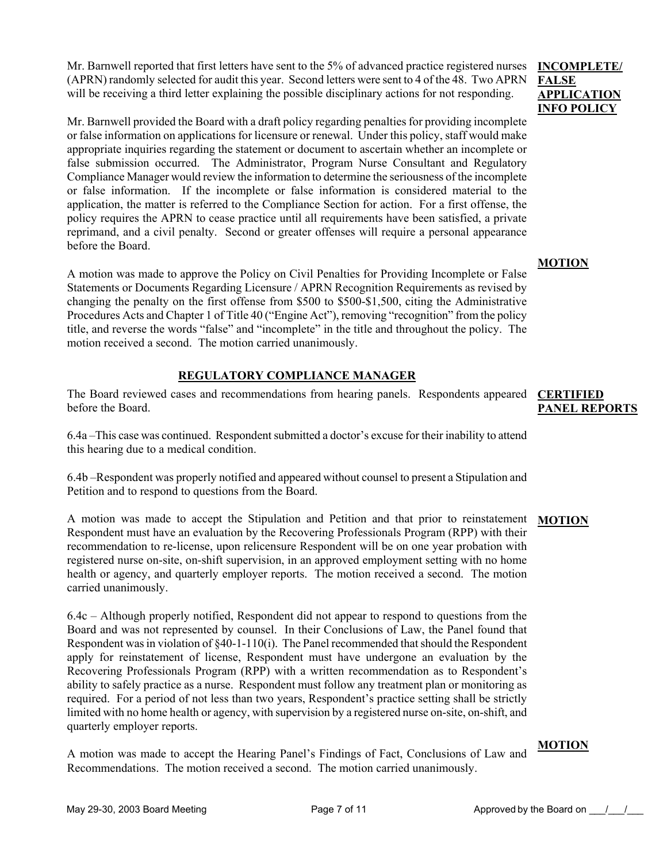Mr. Barnwell reported that first letters have sent to the 5% of advanced practice registered nurses (APRN) randomly selected for audit this year. Second letters were sent to 4 of the 48. Two APRN will be receiving a third letter explaining the possible disciplinary actions for not responding.

Mr. Barnwell provided the Board with a draft policy regarding penalties for providing incomplete or false information on applications for licensure or renewal. Under this policy, staff would make appropriate inquiries regarding the statement or document to ascertain whether an incomplete or false submission occurred. The Administrator, Program Nurse Consultant and Regulatory Compliance Manager would review the information to determine the seriousness of the incomplete or false information. If the incomplete or false information is considered material to the application, the matter is referred to the Compliance Section for action. For a first offense, the policy requires the APRN to cease practice until all requirements have been satisfied, a private reprimand, and a civil penalty. Second or greater offenses will require a personal appearance before the Board.

A motion was made to approve the Policy on Civil Penalties for Providing Incomplete or False Statements or Documents Regarding Licensure / APRN Recognition Requirements as revised by changing the penalty on the first offense from \$500 to \$500-\$1,500, citing the Administrative Procedures Acts and Chapter 1 of Title 40 ("Engine Act"), removing "recognition" from the policy title, and reverse the words "false" and "incomplete" in the title and throughout the policy. The motion received a second. The motion carried unanimously.

#### **REGULATORY COMPLIANCE MANAGER**

The Board reviewed cases and recommendations from hearing panels. Respondents appeared **CERTIFIED**  before the Board.

6.4a –This case was continued. Respondent submitted a doctor's excuse for their inability to attend this hearing due to a medical condition.

6.4b –Respondent was properly notified and appeared without counsel to present a Stipulation and Petition and to respond to questions from the Board.

A motion was made to accept the Stipulation and Petition and that prior to reinstatement **MOTION** Respondent must have an evaluation by the Recovering Professionals Program (RPP) with their recommendation to re-license, upon relicensure Respondent will be on one year probation with registered nurse on-site, on-shift supervision, in an approved employment setting with no home health or agency, and quarterly employer reports. The motion received a second. The motion carried unanimously.

6.4c – Although properly notified, Respondent did not appear to respond to questions from the Board and was not represented by counsel. In their Conclusions of Law, the Panel found that Respondent was in violation of §40-1-110(i). The Panel recommended that should the Respondent apply for reinstatement of license, Respondent must have undergone an evaluation by the Recovering Professionals Program (RPP) with a written recommendation as to Respondent's ability to safely practice as a nurse. Respondent must follow any treatment plan or monitoring as required. For a period of not less than two years, Respondent's practice setting shall be strictly limited with no home health or agency, with supervision by a registered nurse on-site, on-shift, and quarterly employer reports.

A motion was made to accept the Hearing Panel's Findings of Fact, Conclusions of Law and Recommendations. The motion received a second. The motion carried unanimously.

#### **INCOMPLETE/ FALSE APPLICATION INFO POLICY**

#### **MOTION**

## **PANEL REPORTS**

#### **MOTION**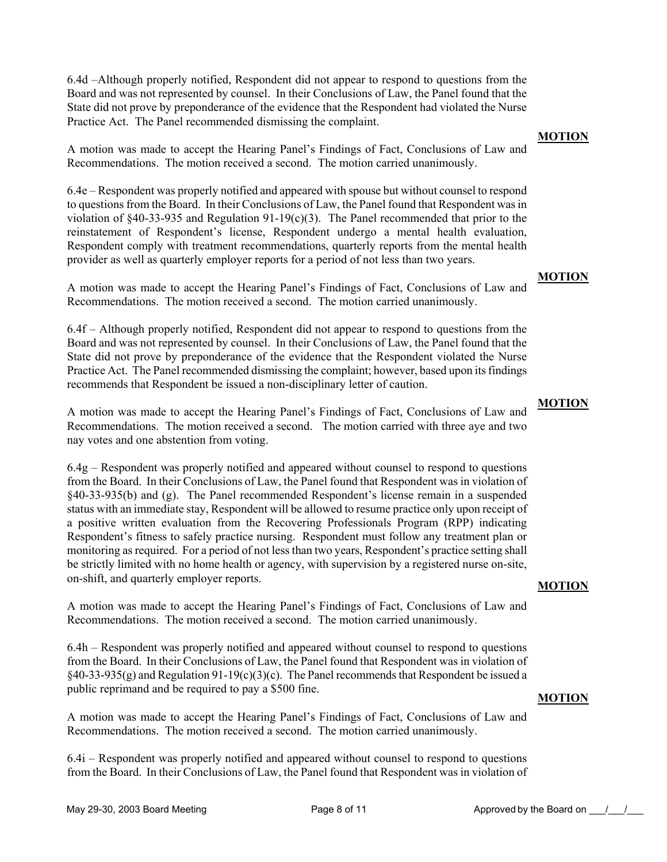6.4d –Although properly notified, Respondent did not appear to respond to questions from the Board and was not represented by counsel. In their Conclusions of Law, the Panel found that the State did not prove by preponderance of the evidence that the Respondent had violated the Nurse Practice Act. The Panel recommended dismissing the complaint.

A motion was made to accept the Hearing Panel's Findings of Fact, Conclusions of Law and Recommendations. The motion received a second. The motion carried unanimously.

6.4e – Respondent was properly notified and appeared with spouse but without counsel to respond to questions from the Board. In their Conclusions of Law, the Panel found that Respondent was in violation of §40-33-935 and Regulation 91-19(c)(3). The Panel recommended that prior to the reinstatement of Respondent's license, Respondent undergo a mental health evaluation, Respondent comply with treatment recommendations, quarterly reports from the mental health provider as well as quarterly employer reports for a period of not less than two years.

A motion was made to accept the Hearing Panel's Findings of Fact, Conclusions of Law and Recommendations. The motion received a second. The motion carried unanimously.

6.4f – Although properly notified, Respondent did not appear to respond to questions from the Board and was not represented by counsel. In their Conclusions of Law, the Panel found that the State did not prove by preponderance of the evidence that the Respondent violated the Nurse Practice Act. The Panel recommended dismissing the complaint; however, based upon its findings recommends that Respondent be issued a non-disciplinary letter of caution.

A motion was made to accept the Hearing Panel's Findings of Fact, Conclusions of Law and Recommendations. The motion received a second. The motion carried with three aye and two nay votes and one abstention from voting.

6.4g – Respondent was properly notified and appeared without counsel to respond to questions from the Board. In their Conclusions of Law, the Panel found that Respondent was in violation of §40-33-935(b) and (g). The Panel recommended Respondent's license remain in a suspended status with an immediate stay, Respondent will be allowed to resume practice only upon receipt of a positive written evaluation from the Recovering Professionals Program (RPP) indicating Respondent's fitness to safely practice nursing. Respondent must follow any treatment plan or monitoring as required. For a period of not less than two years, Respondent's practice setting shall be strictly limited with no home health or agency, with supervision by a registered nurse on-site, on-shift, and quarterly employer reports.

A motion was made to accept the Hearing Panel's Findings of Fact, Conclusions of Law and Recommendations. The motion received a second. The motion carried unanimously.

6.4h – Respondent was properly notified and appeared without counsel to respond to questions from the Board. In their Conclusions of Law, the Panel found that Respondent was in violation of  $§$ 40-33-935(g) and Regulation 91-19(c)(3)(c). The Panel recommends that Respondent be issued a public reprimand and be required to pay a \$500 fine.

**MOTION**

**MOTION**

A motion was made to accept the Hearing Panel's Findings of Fact, Conclusions of Law and

6.4i – Respondent was properly notified and appeared without counsel to respond to questions from the Board. In their Conclusions of Law, the Panel found that Respondent was in violation of

Recommendations. The motion received a second. The motion carried unanimously.

**MOTION**

#### **MOTION**

#### **MOTION**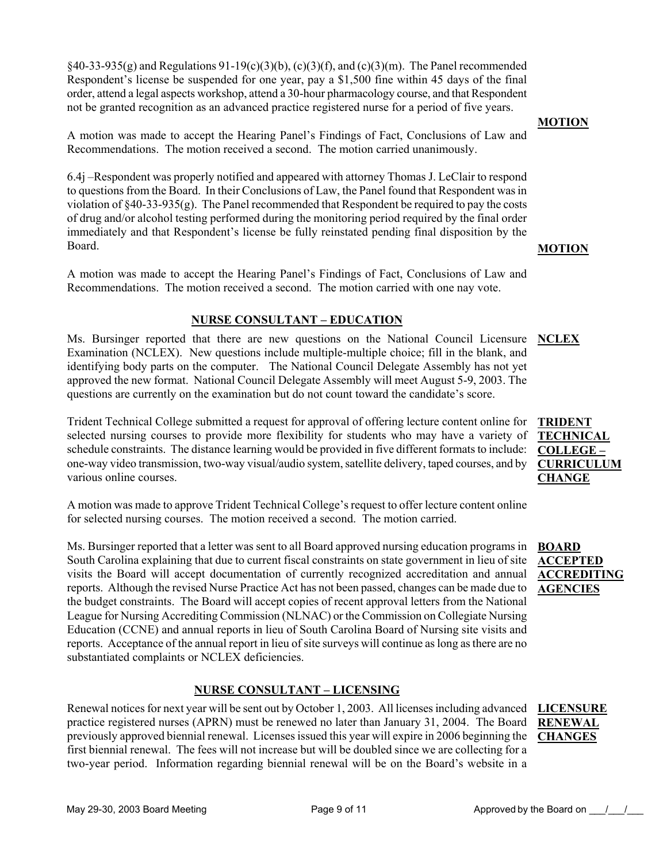$§$ 40-33-935(g) and Regulations 91-19(c)(3)(b), (c)(3)(f), and (c)(3)(m). The Panel recommended Respondent's license be suspended for one year, pay a \$1,500 fine within 45 days of the final order, attend a legal aspects workshop, attend a 30-hour pharmacology course, and that Respondent not be granted recognition as an advanced practice registered nurse for a period of five years.

A motion was made to accept the Hearing Panel's Findings of Fact, Conclusions of Law and Recommendations. The motion received a second. The motion carried unanimously.

6.4j –Respondent was properly notified and appeared with attorney Thomas J. LeClair to respond to questions from the Board. In their Conclusions of Law, the Panel found that Respondent was in violation of  $\{40-33-935(g)$ . The Panel recommended that Respondent be required to pay the costs of drug and/or alcohol testing performed during the monitoring period required by the final order immediately and that Respondent's license be fully reinstated pending final disposition by the Board.

A motion was made to accept the Hearing Panel's Findings of Fact, Conclusions of Law and Recommendations. The motion received a second. The motion carried with one nay vote.

#### **NURSE CONSULTANT – EDUCATION**

Ms. Bursinger reported that there are new questions on the National Council Licensure **NCLEX** Examination (NCLEX). New questions include multiple-multiple choice; fill in the blank, and identifying body parts on the computer. The National Council Delegate Assembly has not yet approved the new format. National Council Delegate Assembly will meet August 5-9, 2003. The questions are currently on the examination but do not count toward the candidate's score.

Trident Technical College submitted a request for approval of offering lecture content online for selected nursing courses to provide more flexibility for students who may have a variety of schedule constraints. The distance learning would be provided in five different formats to include: one-way video transmission, two-way visual/audio system, satellite delivery, taped courses, and by various online courses.

A motion was made to approve Trident Technical College's request to offer lecture content online for selected nursing courses. The motion received a second. The motion carried.

Ms. Bursinger reported that a letter was sent to all Board approved nursing education programs in South Carolina explaining that due to current fiscal constraints on state government in lieu of site ACCEPTED visits the Board will accept documentation of currently recognized accreditation and annual reports. Although the revised Nurse Practice Act has not been passed, changes can be made due to the budget constraints. The Board will accept copies of recent approval letters from the National League for Nursing Accrediting Commission (NLNAC) or the Commission on Collegiate Nursing Education (CCNE) and annual reports in lieu of South Carolina Board of Nursing site visits and reports. Acceptance of the annual report in lieu of site surveys will continue as long as there are no substantiated complaints or NCLEX deficiencies.

#### **NURSE CONSULTANT – LICENSING**

Renewal notices for next year will be sent out by October 1, 2003. All licenses including advanced **LICENSURE**  practice registered nurses (APRN) must be renewed no later than January 31, 2004. The Board RENEWAL previously approved biennial renewal. Licenses issued this year will expire in 2006 beginning the first biennial renewal. The fees will not increase but will be doubled since we are collecting for a two-year period. Information regarding biennial renewal will be on the Board's website in a

#### **MOTION**

**MOTION**

#### **TRIDENT TECHNICAL COLLEGE – CURRICULUM CHANGE**

**BOARD ACCREDITING AGENCIES**

# **CHANGES**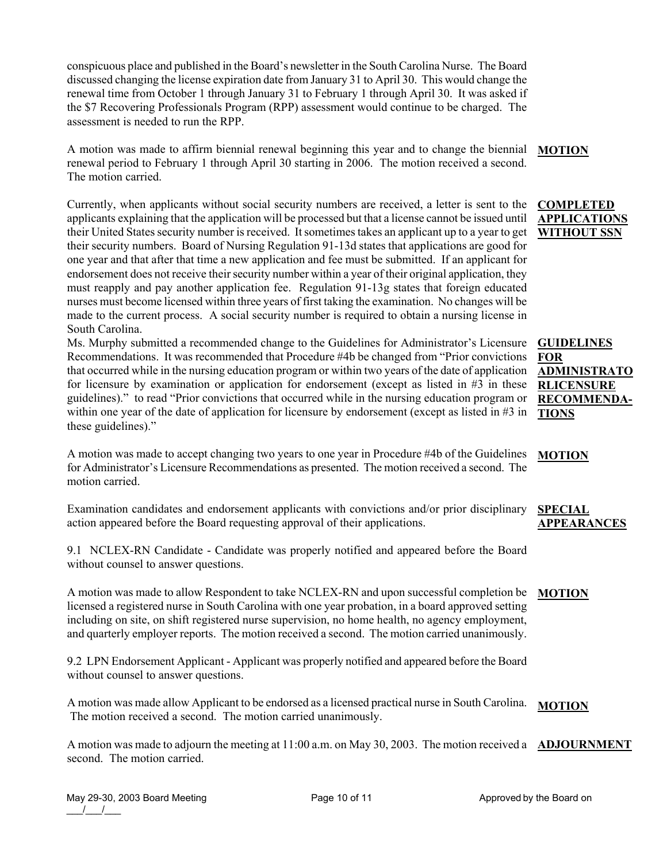conspicuous place and published in the Board's newsletter in the South Carolina Nurse. The Board discussed changing the license expiration date from January 31 to April 30. This would change the renewal time from October 1 through January 31 to February 1 through April 30. It was asked if the \$7 Recovering Professionals Program (RPP) assessment would continue to be charged. The assessment is needed to run the RPP.

A motion was made to affirm biennial renewal beginning this year and to change the biennial renewal period to February 1 through April 30 starting in 2006. The motion received a second. The motion carried.

Currently, when applicants without social security numbers are received, a letter is sent to the applicants explaining that the application will be processed but that a license cannot be issued until their United States security number is received. It sometimes takes an applicant up to a year to get their security numbers. Board of Nursing Regulation 91-13d states that applications are good for one year and that after that time a new application and fee must be submitted. If an applicant for endorsement does not receive their security number within a year of their original application, they must reapply and pay another application fee. Regulation 91-13g states that foreign educated nurses must become licensed within three years of first taking the examination. No changes will be made to the current process. A social security number is required to obtain a nursing license in South Carolina.

Ms. Murphy submitted a recommended change to the Guidelines for Administrator's Licensure Recommendations. It was recommended that Procedure #4b be changed from "Prior convictions that occurred while in the nursing education program or within two years of the date of application for licensure by examination or application for endorsement (except as listed in  $#3$  in these guidelines)." to read "Prior convictions that occurred while in the nursing education program or within one year of the date of application for licensure by endorsement (except as listed in #3 in these guidelines)."

A motion was made to accept changing two years to one year in Procedure #4b of the Guidelines for Administrator's Licensure Recommendations as presented. The motion received a second. The motion carried. **MOTION**

Examination candidates and endorsement applicants with convictions and/or prior disciplinary action appeared before the Board requesting approval of their applications. **SPECIAL APPEARANCES**

9.1 NCLEX-RN Candidate - Candidate was properly notified and appeared before the Board without counsel to answer questions.

A motion was made to allow Respondent to take NCLEX-RN and upon successful completion be **MOTION** licensed a registered nurse in South Carolina with one year probation, in a board approved setting including on site, on shift registered nurse supervision, no home health, no agency employment, and quarterly employer reports. The motion received a second. The motion carried unanimously.

9.2 LPN Endorsement Applicant - Applicant was properly notified and appeared before the Board without counsel to answer questions.

A motion was made allow Applicant to be endorsed as a licensed practical nurse in South Carolina. The motion received a second. The motion carried unanimously. **MOTION**

A motion was made to adjourn the meeting at 11:00 a.m. on May 30, 2003. The motion received a **ADJOURNMENT**second. The motion carried.

#### **GUIDELINES FOR ADMINISTRATO RLICENSURE RECOMMENDA-TIONS**

#### **MOTION**

#### **COMPLETED APPLICATIONS WITHOUT SSN**